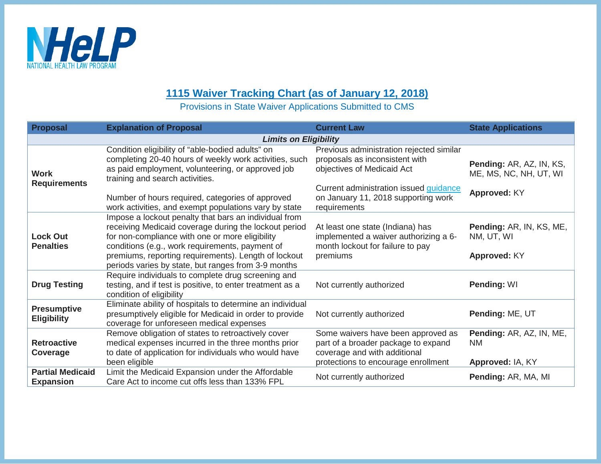

## **1115 Waiver Tracking Chart (as of January 12, 2018)**

Provisions in State Waiver Applications Submitted to CMS

| <b>Proposal</b>                             | <b>Explanation of Proposal</b>                                                                                                                                                                                                                                                                                                      | <b>Current Law</b>                                                                                                                                                                                               | <b>State Applications</b>                                          |  |  |
|---------------------------------------------|-------------------------------------------------------------------------------------------------------------------------------------------------------------------------------------------------------------------------------------------------------------------------------------------------------------------------------------|------------------------------------------------------------------------------------------------------------------------------------------------------------------------------------------------------------------|--------------------------------------------------------------------|--|--|
| <b>Limits on Eligibility</b>                |                                                                                                                                                                                                                                                                                                                                     |                                                                                                                                                                                                                  |                                                                    |  |  |
| <b>Work</b><br><b>Requirements</b>          | Condition eligibility of "able-bodied adults" on<br>completing 20-40 hours of weekly work activities, such<br>as paid employment, volunteering, or approved job<br>training and search activities.<br>Number of hours required, categories of approved<br>work activities, and exempt populations vary by state                     | Previous administration rejected similar<br>proposals as inconsistent with<br>objectives of Medicaid Act<br>Current administration issued <i>guidance</i><br>on January 11, 2018 supporting work<br>requirements | Pending: AR, AZ, IN, KS,<br>ME, MS, NC, NH, UT, WI<br>Approved: KY |  |  |
| <b>Lock Out</b><br><b>Penalties</b>         | Impose a lockout penalty that bars an individual from<br>receiving Medicaid coverage during the lockout period<br>for non-compliance with one or more eligibility<br>conditions (e.g., work requirements, payment of<br>premiums, reporting requirements). Length of lockout<br>periods varies by state, but ranges from 3-9 months | At least one state (Indiana) has<br>implemented a waiver authorizing a 6-<br>month lockout for failure to pay<br>premiums                                                                                        | Pending: AR, IN, KS, ME,<br>NM, UT, WI<br>Approved: KY             |  |  |
| <b>Drug Testing</b>                         | Require individuals to complete drug screening and<br>testing, and if test is positive, to enter treatment as a<br>condition of eligibility                                                                                                                                                                                         | Not currently authorized                                                                                                                                                                                         | Pending: WI                                                        |  |  |
| <b>Presumptive</b><br><b>Eligibility</b>    | Eliminate ability of hospitals to determine an individual<br>presumptively eligible for Medicaid in order to provide<br>coverage for unforeseen medical expenses                                                                                                                                                                    | Not currently authorized                                                                                                                                                                                         | Pending: ME, UT                                                    |  |  |
| <b>Retroactive</b><br>Coverage              | Remove obligation of states to retroactively cover<br>medical expenses incurred in the three months prior<br>to date of application for individuals who would have<br>been eligible                                                                                                                                                 | Some waivers have been approved as<br>part of a broader package to expand<br>coverage and with additional<br>protections to encourage enrollment                                                                 | Pending: AR, AZ, IN, ME,<br><b>NM</b><br>Approved: IA, KY          |  |  |
| <b>Partial Medicaid</b><br><b>Expansion</b> | Limit the Medicaid Expansion under the Affordable<br>Care Act to income cut offs less than 133% FPL                                                                                                                                                                                                                                 | Not currently authorized                                                                                                                                                                                         | Pending: AR, MA, MI                                                |  |  |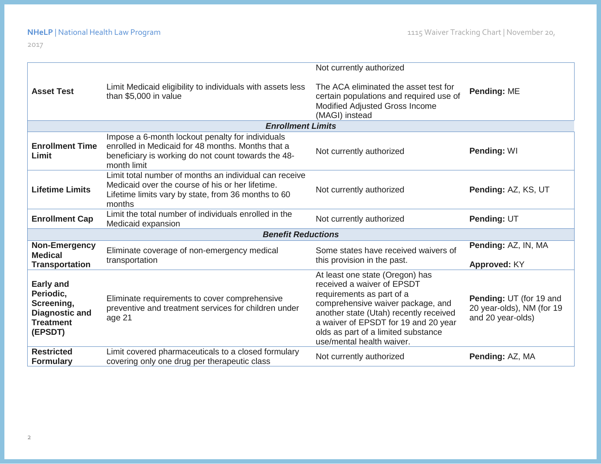2017

|                                                                                                                          |                                                                                                                                                                             | Not currently authorized                                                                                                                                                                                                                                                              |                                                                           |  |  |  |
|--------------------------------------------------------------------------------------------------------------------------|-----------------------------------------------------------------------------------------------------------------------------------------------------------------------------|---------------------------------------------------------------------------------------------------------------------------------------------------------------------------------------------------------------------------------------------------------------------------------------|---------------------------------------------------------------------------|--|--|--|
| <b>Asset Test</b>                                                                                                        | Limit Medicaid eligibility to individuals with assets less<br>than \$5,000 in value                                                                                         | The ACA eliminated the asset test for<br>certain populations and required use of<br>Modified Adjusted Gross Income<br>(MAGI) instead                                                                                                                                                  | Pending: ME                                                               |  |  |  |
| <b>Enrollment Limits</b>                                                                                                 |                                                                                                                                                                             |                                                                                                                                                                                                                                                                                       |                                                                           |  |  |  |
| <b>Enrollment Time</b><br>Limit                                                                                          | Impose a 6-month lockout penalty for individuals<br>enrolled in Medicaid for 48 months. Months that a<br>beneficiary is working do not count towards the 48-<br>month limit | Not currently authorized                                                                                                                                                                                                                                                              | Pending: WI                                                               |  |  |  |
| <b>Lifetime Limits</b>                                                                                                   | Limit total number of months an individual can receive<br>Medicaid over the course of his or her lifetime.<br>Lifetime limits vary by state, from 36 months to 60<br>months | Not currently authorized                                                                                                                                                                                                                                                              | Pending: AZ, KS, UT                                                       |  |  |  |
| <b>Enrollment Cap</b>                                                                                                    | Limit the total number of individuals enrolled in the<br>Medicaid expansion                                                                                                 | Not currently authorized                                                                                                                                                                                                                                                              | Pending: UT                                                               |  |  |  |
| <b>Benefit Reductions</b>                                                                                                |                                                                                                                                                                             |                                                                                                                                                                                                                                                                                       |                                                                           |  |  |  |
| <b>Non-Emergency</b><br><b>Medical</b><br><b>Transportation</b>                                                          | Eliminate coverage of non-emergency medical<br>transportation                                                                                                               | Some states have received waivers of<br>this provision in the past.                                                                                                                                                                                                                   | Pending: AZ, IN, MA<br>Approved: KY                                       |  |  |  |
| <b>Early and</b><br>Periodic,<br>Screening,<br><b>Diagnostic and</b><br><b>Treatment</b><br>(EPSDT)<br><b>Restricted</b> | Eliminate requirements to cover comprehensive<br>preventive and treatment services for children under<br>age 21                                                             | At least one state (Oregon) has<br>received a waiver of EPSDT<br>requirements as part of a<br>comprehensive waiver package, and<br>another state (Utah) recently received<br>a waiver of EPSDT for 19 and 20 year<br>olds as part of a limited substance<br>use/mental health waiver. | Pending: UT (for 19 and<br>20 year-olds), NM (for 19<br>and 20 year-olds) |  |  |  |
| <b>Formulary</b>                                                                                                         | Limit covered pharmaceuticals to a closed formulary<br>covering only one drug per therapeutic class                                                                         | Not currently authorized                                                                                                                                                                                                                                                              | Pending: AZ, MA                                                           |  |  |  |